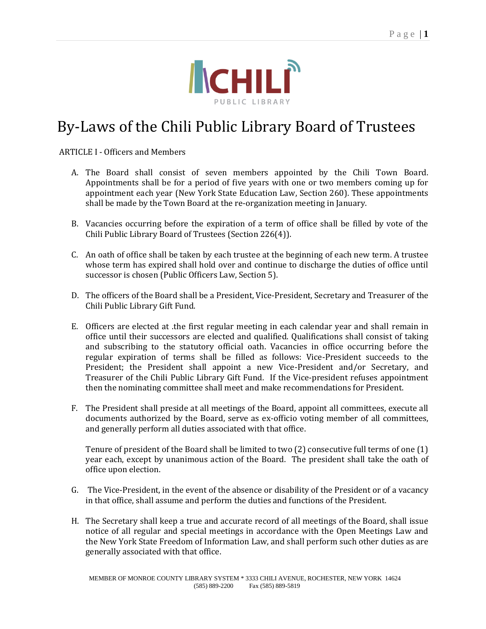

## By-Laws of the Chili Public Library Board of Trustees

ARTICLE I - Officers and Members

- A. The Board shall consist of seven members appointed by the Chili Town Board. Appointments shall be for a period of five years with one or two members coming up for appointment each year (New York State Education Law, Section 260). These appointments shall be made by the Town Board at the re-organization meeting in January.
- B. Vacancies occurring before the expiration of a term of office shall be filled by vote of the Chili Public Library Board of Trustees (Section 226(4)).
- C. An oath of office shall be taken by each trustee at the beginning of each new term. A trustee whose term has expired shall hold over and continue to discharge the duties of office until successor is chosen (Public Officers Law, Section 5).
- D. The officers of the Board shall be a President, Vice-President, Secretary and Treasurer of the Chili Public Library Gift Fund.
- E. Officers are elected at .the first regular meeting in each calendar year and shall remain in office until their successors are elected and qualified. Qualifications shall consist of taking and subscribing to the statutory official oath. Vacancies in office occurring before the regular expiration of terms shall be filled as follows: Vice-President succeeds to the President; the President shall appoint a new Vice-President and/or Secretary, and Treasurer of the Chili Public Library Gift Fund. If the Vice-president refuses appointment then the nominating committee shall meet and make recommendations for President.
- F. The President shall preside at all meetings of the Board, appoint all committees, execute all documents authorized by the Board, serve as ex-officio voting member of all committees, and generally perform all duties associated with that office.

Tenure of president of the Board shall be limited to two (2) consecutive full terms of one (1) year each, except by unanimous action of the Board. The president shall take the oath of office upon election.

- G. The Vice-President, in the event of the absence or disability of the President or of a vacancy in that office, shall assume and perform the duties and functions of the President.
- H. The Secretary shall keep a true and accurate record of all meetings of the Board, shall issue notice of all regular and special meetings in accordance with the Open Meetings Law and the New York State Freedom of Information Law, and shall perform such other duties as are generally associated with that office.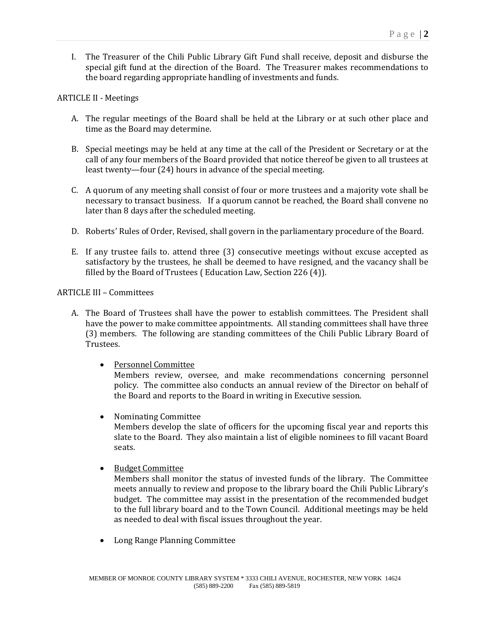I. The Treasurer of the Chili Public Library Gift Fund shall receive, deposit and disburse the special gift fund at the direction of the Board. The Treasurer makes recommendations to the board regarding appropriate handling of investments and funds.

## ARTICLE II - Meetings

- A. The regular meetings of the Board shall be held at the Library or at such other place and time as the Board may determine.
- B. Special meetings may be held at any time at the call of the President or Secretary or at the call of any four members of the Board provided that notice thereof be given to all trustees at least twenty—four (24) hours in advance of the special meeting.
- C. A quorum of any meeting shall consist of four or more trustees and a majority vote shall be necessary to transact business. If a quorum cannot be reached, the Board shall convene no later than 8 days after the scheduled meeting.
- D. Roberts' Rules of Order, Revised, shall govern in the parliamentary procedure of the Board.
- E. If any trustee fails to. attend three (3) consecutive meetings without excuse accepted as satisfactory by the trustees, he shall be deemed to have resigned, and the vacancy shall be filled by the Board of Trustees ( Education Law, Section 226 (4)).

## ARTICLE III – Committees

- A. The Board of Trustees shall have the power to establish committees. The President shall have the power to make committee appointments. All standing committees shall have three (3) members. The following are standing committees of the Chili Public Library Board of Trustees.
	- Personnel Committee

Members review, oversee, and make recommendations concerning personnel policy. The committee also conducts an annual review of the Director on behalf of the Board and reports to the Board in writing in Executive session.

Nominating Committee

Members develop the slate of officers for the upcoming fiscal year and reports this slate to the Board. They also maintain a list of eligible nominees to fill vacant Board seats.

• Budget Committee

Members shall monitor the status of invested funds of the library. The Committee meets annually to review and propose to the library board the Chili Public Library's budget. The committee may assist in the presentation of the recommended budget to the full library board and to the Town Council. Additional meetings may be held as needed to deal with fiscal issues throughout the year.

Long Range Planning Committee